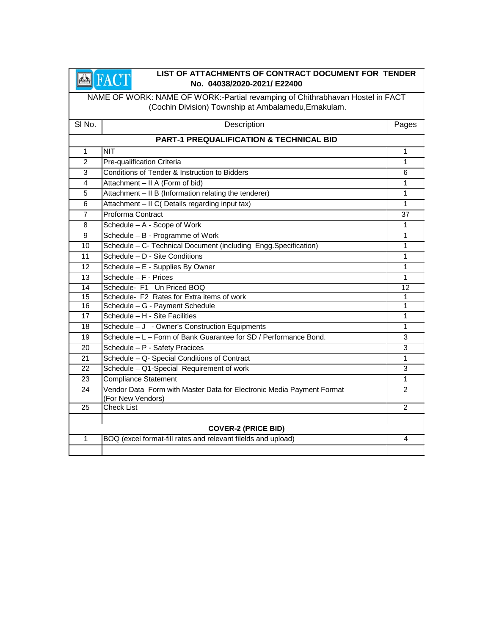#### **EARLY AND RESEARCE CONTRACT DOCUMENT FOR TENDER**<br>No. 04038/2020-2021/ E22400 **No. 04038/2020-2021/ E22400**

NAME OF WORK: NAME OF WORK:-Partial revamping of Chithrabhavan Hostel in FACT (Cochin Division) Township at Ambalamedu,Ernakulam.

| SI No.          | Description                                                                                | Pages          |
|-----------------|--------------------------------------------------------------------------------------------|----------------|
|                 | <b>PART-1 PREQUALIFICATION &amp; TECHNICAL BID</b>                                         |                |
| $\mathbf{1}$    | <b>NIT</b>                                                                                 | 1              |
| $\overline{2}$  | Pre-qualification Criteria                                                                 | 1              |
| 3               | Conditions of Tender & Instruction to Bidders                                              | 6              |
| $\overline{4}$  | Attachment - II A (Form of bid)                                                            | 1              |
| 5               | Attachment - II B (Information relating the tenderer)                                      | 1              |
| 6               | Attachment - II C( Details regarding input tax)                                            | 1              |
| $\overline{7}$  | Proforma Contract                                                                          | 37             |
| 8               | Schedule - A - Scope of Work                                                               | 1              |
| 9               | Schedule - B - Programme of Work                                                           | 1              |
| 10              | Schedule - C- Technical Document (including Engg.Specification)                            | 1              |
| 11              | Schedule - D - Site Conditions                                                             | 1              |
| 12              | Schedule - E - Supplies By Owner                                                           | 1              |
| $\overline{13}$ | Schedule $-F$ - Prices                                                                     | 1              |
| 14              | Schedule- F1 Un Priced BOQ                                                                 | 12             |
| 15              | Schedule- F2 Rates for Extra items of work                                                 | 1              |
| 16              | Schedule - G - Payment Schedule                                                            | 1              |
| 17              | Schedule - H - Site Facilities                                                             | 1              |
| 18              | Schedule - J - Owner's Construction Equipments                                             | 1              |
| 19              | Schedule - L - Form of Bank Guarantee for SD / Performance Bond.                           | 3              |
| 20              | Schedule - P - Safety Pracices                                                             | 3              |
| 21              | Schedule - Q- Special Conditions of Contract                                               | 1              |
| 22              | Schedule - Q1-Special Requirement of work                                                  | 3              |
| 23              | <b>Compliance Statement</b>                                                                | 1              |
| 24              | Vendor Data Form with Master Data for Electronic Media Payment Format<br>(For New Vendors) | $\overline{2}$ |
| 25              | <b>Check List</b>                                                                          | $\overline{2}$ |
|                 | <b>COVER-2 (PRICE BID)</b>                                                                 |                |
| 1               | BOQ (excel format-fill rates and relevant filelds and upload)                              | 4              |
|                 |                                                                                            |                |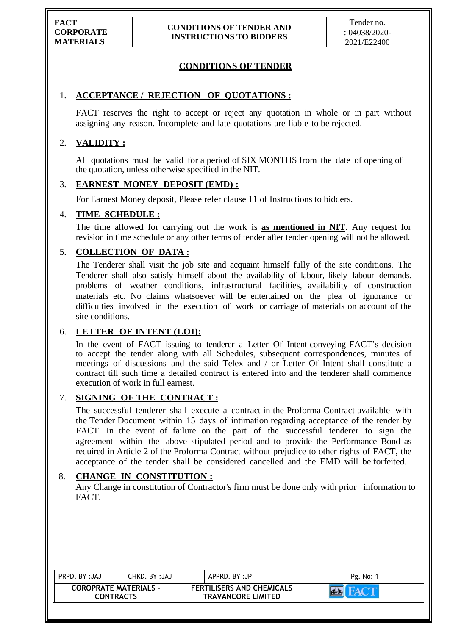# **CONDITIONS OF TENDER**

## 1. **ACCEPTANCE / REJECTION OF QUOTATIONS :**

FACT reserves the right to accept or reject any quotation in whole or in part without assigning any reason. Incomplete and late quotations are liable to be rejected.

# 2. **VALIDITY :**

All quotations must be valid for a period of SIX MONTHS from the date of opening of the quotation, unless otherwise specified in the NIT.

#### 3. **EARNEST MONEY DEPOSIT (EMD) :**

For Earnest Money deposit, Please refer clause 11 of Instructions to bidders.

## 4. **TIME SCHEDULE :**

The time allowed for carrying out the work is **as mentioned in NIT**. Any request for revision in time schedule or any other terms of tender after tender opening will not be allowed.

# 5. **COLLECTION OF DATA :**

The Tenderer shall visit the job site and acquaint himself fully of the site conditions. The Tenderer shall also satisfy himself about the availability of labour, likely labour demands, problems of weather conditions, infrastructural facilities, availability of construction materials etc. No claims whatsoever will be entertained on the plea of ignorance or difficulties involved in the execution of work or carriage of materials on account of the site conditions.

# 6. **LETTER OF INTENT (LOI):**

In the event of FACT issuing to tenderer a Letter Of Intent conveying FACT's decision to accept the tender along with all Schedules, subsequent correspondences, minutes of meetings of discussions and the said Telex and / or Letter Of Intent shall constitute a contract till such time a detailed contract is entered into and the tenderer shall commence execution of work in full earnest.

### 7. **SIGNING OF THE CONTRACT :**

The successful tenderer shall execute a contract in the Proforma Contract available with the Tender Document within 15 days of intimation regarding acceptance of the tender by FACT. In the event of failure on the part of the successful tenderer to sign the agreement within the above stipulated period and to provide the Performance Bond as required in Article 2 of the Proforma Contract without prejudice to other rights of FACT, the acceptance of the tender shall be considered cancelled and the EMD will be forfeited.

## 8. **CHANGE IN CONSTITUTION :**

Any Change in constitution of Contractor's firm must be done only with prior information to FACT.

| PRPD. BY: JAJ                                    | CHKD. BY :JAJ | APPRD. BY:JP                                                  | Pg. No: |
|--------------------------------------------------|---------------|---------------------------------------------------------------|---------|
| <b>COROPRATE MATERIALS -</b><br><b>CONTRACTS</b> |               | <b>FERTILISERS AND CHEMICALS</b><br><b>TRAVANCORE LIMITED</b> |         |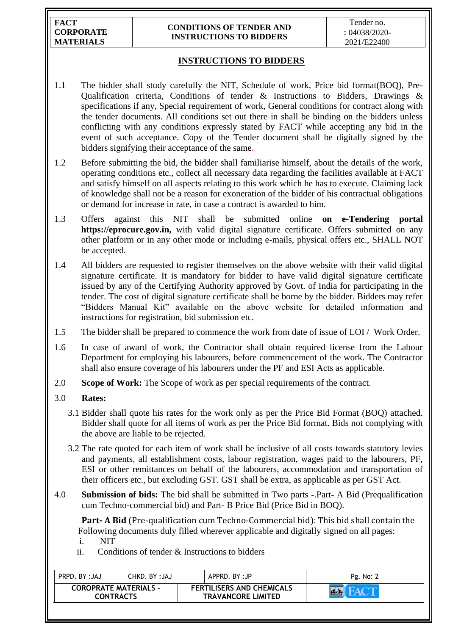**FACT CORPORATE MATERIALS**

#### **CONDITIONS OF TENDER AND INSTRUCTIONS TO BIDDERS**

## **INSTRUCTIONS TO BIDDERS**

- 1.1 The bidder shall study carefully the NIT, Schedule of work, Price bid format(BOQ), Pre-Qualification criteria, Conditions of tender & Instructions to Bidders, Drawings & specifications if any, Special requirement of work, General conditions for contract along with the tender documents. All conditions set out there in shall be binding on the bidders unless conflicting with any conditions expressly stated by FACT while accepting any bid in the event of such acceptance. Copy of the Tender document shall be digitally signed by the bidders signifying their acceptance of the same.
- 1.2 Before submitting the bid, the bidder shall familiarise himself, about the details of the work, operating conditions etc., collect all necessary data regarding the facilities available at FACT and satisfy himself on all aspects relating to this work which he has to execute. Claiming lack of knowledge shall not be a reason for exoneration of the bidder of his contractual obligations or demand for increase in rate, in case a contract is awarded to him.
- 1.3 Offers against this NIT shall be submitted online **on e-Tendering portal https://eprocure.gov.in,** with valid digital signature certificate. Offers submitted on any other platform or in any other mode or including e-mails, physical offers etc., SHALL NOT be accepted.
- 1.4 All bidders are requested to register themselves on the above website with their valid digital signature certificate. It is mandatory for bidder to have valid digital signature certificate issued by any of the Certifying Authority approved by Govt. of India for participating in the tender. The cost of digital signature certificate shall be borne by the bidder. Bidders may refer "Bidders Manual Kit" available on the above website for detailed information and instructions for registration, bid submission etc.
- 1.5 The bidder shall be prepared to commence the work from date of issue of LOI / Work Order.
- 1.6 In case of award of work, the Contractor shall obtain required license from the Labour Department for employing his labourers, before commencement of the work. The Contractor shall also ensure coverage of his labourers under the PF and ESI Acts as applicable.
- 2.0 **Scope of Work:** The Scope of work as per special requirements of the contract.

#### 3.0 **Rates:**

- 3.1 Bidder shall quote his rates for the work only as per the Price Bid Format (BOQ) attached. Bidder shall quote for all items of work as per the Price Bid format. Bids not complying with the above are liable to be rejected.
- 3.2 The rate quoted for each item of work shall be inclusive of all costs towards statutory levies and payments, all establishment costs, labour registration, wages paid to the labourers, PF, ESI or other remittances on behalf of the labourers, accommodation and transportation of their officers etc., but excluding GST. GST shall be extra, as applicable as per GST Act.
- 4.0 **Submission of bids:** The bid shall be submitted in Two parts -.Part- A Bid (Prequalification cum Techno-commercial bid) and Part- B Price Bid (Price Bid in BOQ).

 **Part- A Bid** (Pre-qualification cum Techno-Commercial bid): This bid shall contain the Following documents duly filled wherever applicable and digitally signed on all pages: i. NIT

ii. Conditions of tender & Instructions to bidders

| <b>FERTILISERS AND CHEMICALS</b><br><b>COROPRATE MATERIALS -</b><br><b>TRAVANCORE LIMITED</b><br><b>CONTRACTS</b> | PRPD. BY: JAJ | CHKD, BY:JAJ | APPRD. BY:JP | Pg. No: 2 |
|-------------------------------------------------------------------------------------------------------------------|---------------|--------------|--------------|-----------|
|                                                                                                                   |               |              |              |           |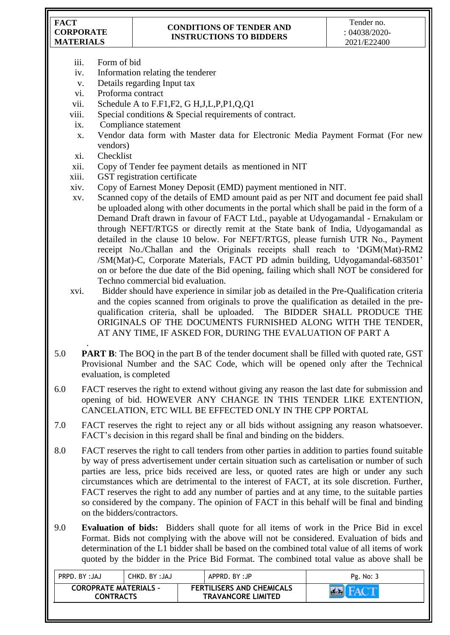**FACT CORPORATE MATERIALS**

## **CONDITIONS OF TENDER AND INSTRUCTIONS TO BIDDERS**

- iii. Form of bid
- iv. Information relating the tenderer
- v. Details regarding Input tax
- vi. Proforma contract
- vii. Schedule A to F.F1,F2, G H,J,L,P,P1,Q,Q1
- viii. Special conditions & Special requirements of contract.
- ix. Compliance statement
- x. Vendor data form with Master data for Electronic Media Payment Format (For new vendors)
- xi. Checklist
- xii. Copy of Tender fee payment details as mentioned in NIT
- xiii. GST registration certificate
- xiv. Copy of Earnest Money Deposit (EMD) payment mentioned in NIT.
- xv. Scanned copy of the details of EMD amount paid as per NIT and document fee paid shall be uploaded along with other documents in the portal which shall be paid in the form of a Demand Draft drawn in favour of FACT Ltd., payable at Udyogamandal - Ernakulam or through NEFT/RTGS or directly remit at the State bank of India, Udyogamandal as detailed in the clause 10 below. For NEFT/RTGS, please furnish UTR No., Payment receipt No./Challan and the Originals receipts shall reach to "DGM(Mat)-RM2 /SM(Mat)-C, Corporate Materials, FACT PD admin building, Udyogamandal-683501" on or before the due date of the Bid opening, failing which shall NOT be considered for Techno commercial bid evaluation.
- xvi. Bidder should have experience in similar job as detailed in the Pre-Qualification criteria and the copies scanned from originals to prove the qualification as detailed in the prequalification criteria, shall be uploaded. The BIDDER SHALL PRODUCE THE ORIGINALS OF THE DOCUMENTS FURNISHED ALONG WITH THE TENDER, AT ANY TIME, IF ASKED FOR, DURING THE EVALUATION OF PART A
- . 5.0 **PART B**: The BOQ in the part B of the tender document shall be filled with quoted rate, GST Provisional Number and the SAC Code, which will be opened only after the Technical evaluation, is completed
- 6.0 FACT reserves the right to extend without giving any reason the last date for submission and opening of bid. HOWEVER ANY CHANGE IN THIS TENDER LIKE EXTENTION, CANCELATION, ETC WILL BE EFFECTED ONLY IN THE CPP PORTAL
- 7.0 FACT reserves the right to reject any or all bids without assigning any reason whatsoever. FACT"s decision in this regard shall be final and binding on the bidders.
- 8.0 FACT reserves the right to call tenders from other parties in addition to parties found suitable by way of press advertisement under certain situation such as cartelisation or number of such parties are less, price bids received are less, or quoted rates are high or under any such circumstances which are detrimental to the interest of FACT, at its sole discretion. Further, FACT reserves the right to add any number of parties and at any time, to the suitable parties so considered by the company. The opinion of FACT in this behalf will be final and binding on the bidders/contractors.
- 9.0 **Evaluation of bids:** Bidders shall quote for all items of work in the Price Bid in excel Format. Bids not complying with the above will not be considered. Evaluation of bids and determination of the L1 bidder shall be based on the combined total value of all items of work quoted by the bidder in the Price Bid Format. The combined total value as above shall be

| PRPD, BY: JAJ                                    | CHKD. BY :JAJ | APPRD. BY:JP |                                                               | Pg. No: 3 |
|--------------------------------------------------|---------------|--------------|---------------------------------------------------------------|-----------|
| <b>COROPRATE MATERIALS -</b><br><b>CONTRACTS</b> |               |              | <b>FERTILISERS AND CHEMICALS</b><br><b>TRAVANCORE LIMITED</b> |           |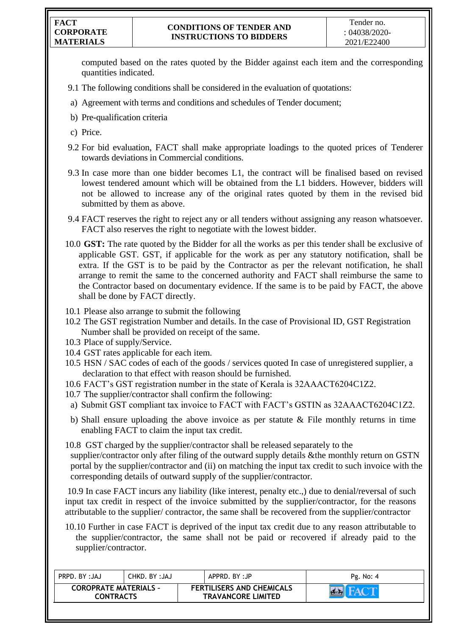#### **FACT CORPORATE MATERIALS**

computed based on the rates quoted by the Bidder against each item and the corresponding quantities indicated.

- 9.1 The following conditions shall be considered in the evaluation of quotations:
- a) Agreement with terms and conditions and schedules of Tender document;
- b) Pre-qualification criteria
- c) Price.
- 9.2 For bid evaluation, FACT shall make appropriate loadings to the quoted prices of Tenderer towards deviations in Commercial conditions.
- 9.3 In case more than one bidder becomes L1, the contract will be finalised based on revised lowest tendered amount which will be obtained from the L1 bidders. However, bidders will not be allowed to increase any of the original rates quoted by them in the revised bid submitted by them as above.
- 9.4 FACT reserves the right to reject any or all tenders without assigning any reason whatsoever. FACT also reserves the right to negotiate with the lowest bidder.
- 10.0 **GST:** The rate quoted by the Bidder for all the works as per this tender shall be exclusive of applicable GST. GST, if applicable for the work as per any statutory notification, shall be extra. If the GST is to be paid by the Contractor as per the relevant notification, he shall arrange to remit the same to the concerned authority and FACT shall reimburse the same to the Contractor based on documentary evidence. If the same is to be paid by FACT, the above shall be done by FACT directly.
- 10.1 Please also arrange to submit the following
- 10.2 The GST registration Number and details. In the case of Provisional ID, GST Registration Number shall be provided on receipt of the same.
- 10.3 Place of supply/Service.
- 10.4 GST rates applicable for each item.
- 10.5 HSN / SAC codes of each of the goods / services quoted In case of unregistered supplier, a declaration to that effect with reason should be furnished.
- 10.6 FACT"s GST registration number in the state of Kerala is 32AAACT6204C1Z2.
- 10.7 The supplier/contractor shall confirm the following:
- a) Submit GST compliant tax invoice to FACT with FACT"s GSTIN as 32AAACT6204C1Z2.
- b) Shall ensure uploading the above invoice as per statute & File monthly returns in time enabling FACT to claim the input tax credit.
- 10.8 GST charged by the supplier/contractor shall be released separately to the supplier/contractor only after filing of the outward supply details &the monthly return on GSTN portal by the supplier/contractor and (ii) on matching the input tax credit to such invoice with the corresponding details of outward supply of the supplier/contractor.

10.9 In case FACT incurs any liability (like interest, penalty etc.,) due to denial/reversal of such input tax credit in respect of the invoice submitted by the supplier/contractor, for the reasons attributable to the supplier/ contractor, the same shall be recovered from the supplier/contractor

10.10 Further in case FACT is deprived of the input tax credit due to any reason attributable to the supplier/contractor, the same shall not be paid or recovered if already paid to the supplier/contractor.

| PRPD. BY: JAJ                                    | CHKD, BY:JAJ<br>APPRD. BY:JP                                  | Pg. No: 4 |
|--------------------------------------------------|---------------------------------------------------------------|-----------|
| <b>COROPRATE MATERIALS -</b><br><b>CONTRACTS</b> | <b>FERTILISERS AND CHEMICALS</b><br><b>TRAVANCORE LIMITED</b> |           |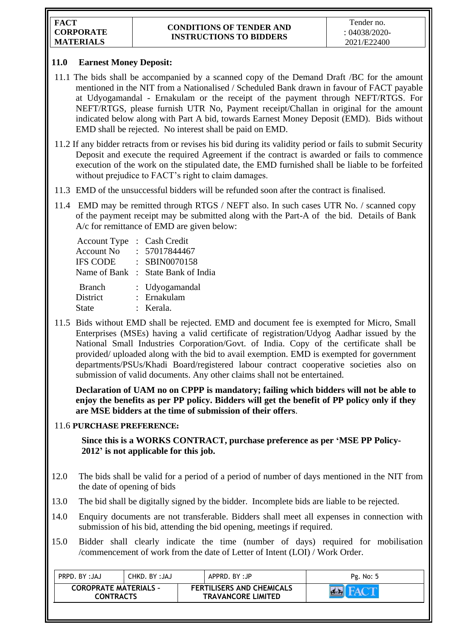## **11.0 Earnest Money Deposit:**

- 11.1 The bids shall be accompanied by a scanned copy of the Demand Draft /BC for the amount mentioned in the NIT from a Nationalised / Scheduled Bank drawn in favour of FACT payable at Udyogamandal - Ernakulam or the receipt of the payment through NEFT/RTGS. For NEFT/RTGS, please furnish UTR No, Payment receipt/Challan in original for the amount indicated below along with Part A bid, towards Earnest Money Deposit (EMD). Bids without EMD shall be rejected. No interest shall be paid on EMD.
- 11.2 If any bidder retracts from or revises his bid during its validity period or fails to submit Security Deposit and execute the required Agreement if the contract is awarded or fails to commence execution of the work on the stipulated date, the EMD furnished shall be liable to be forfeited without prejudice to FACT's right to claim damages.
- 11.3 EMD of the unsuccessful bidders will be refunded soon after the contract is finalised.
- 11.4 EMD may be remitted through RTGS / NEFT also. In such cases UTR No. / scanned copy of the payment receipt may be submitted along with the Part-A of the bid. Details of Bank A/c for remittance of EMD are given below:

| <b>Account Type</b><br><b>Account No</b><br><b>IFS CODE</b> | : Cash Credit<br>: 57017844467<br>: SBIN0070158<br>Name of Bank : State Bank of India |
|-------------------------------------------------------------|---------------------------------------------------------------------------------------|
| <b>Branch</b><br>District<br><b>State</b>                   | : Udyogamandal<br>: Ernakulam<br>: Kerala.                                            |

11.5 Bids without EMD shall be rejected. EMD and document fee is exempted for Micro, Small Enterprises (MSEs) having a valid certificate of registration/Udyog Aadhar issued by the National Small Industries Corporation/Govt. of India. Copy of the certificate shall be provided/ uploaded along with the bid to avail exemption. EMD is exempted for government departments/PSUs/Khadi Board/registered labour contract cooperative societies also on submission of valid documents. Any other claims shall not be entertained.

**Declaration of UAM no on CPPP is mandatory; failing which bidders will not be able to enjoy the benefits as per PP policy. Bidders will get the benefit of PP policy only if they are MSE bidders at the time of submission of their offers**.

# 11.6 **PURCHASE PREFERENCE:**

**Since this is a WORKS CONTRACT, purchase preference as per 'MSE PP Policy-2012' is not applicable for this job.**

- 12.0 The bids shall be valid for a period of a period of number of days mentioned in the NIT from the date of opening of bids
- 13.0 The bid shall be digitally signed by the bidder. Incomplete bids are liable to be rejected.
- 14.0 Enquiry documents are not transferable. Bidders shall meet all expenses in connection with submission of his bid, attending the bid opening, meetings if required.
- 15.0 Bidder shall clearly indicate the time (number of days) required for mobilisation /commencement of work from the date of Letter of Intent (LOI) / Work Order.

| <b>FERTILISERS AND CHEMICALS</b><br><b>COROPRATE MATERIALS -</b><br><b>TRAVANCORE LIMITED</b><br><b>CONTRACTS</b> |  |
|-------------------------------------------------------------------------------------------------------------------|--|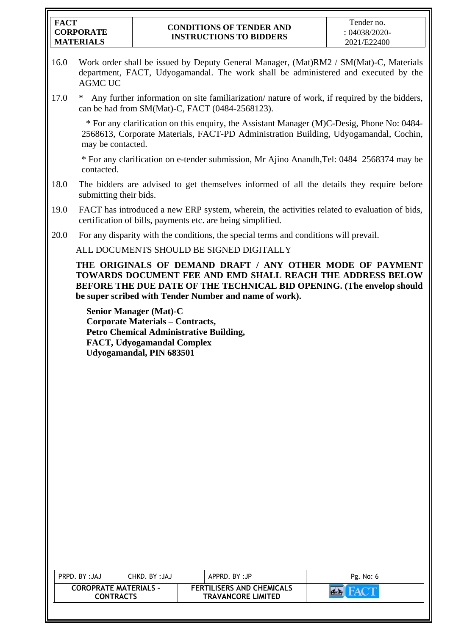| <b>FACT</b>      |
|------------------|
| <b>CORPORATE</b> |
| <b>MATERIALS</b> |

- 16.0 Work order shall be issued by Deputy General Manager, (Mat)RM2 / SM(Mat)-C, Materials department, FACT, Udyogamandal. The work shall be administered and executed by the AGMC UC
- 17.0 \* Any further information on site familiarization/ nature of work, if required by the bidders, can be had from SM(Mat)-C, FACT (0484-2568123).

 \* For any clarification on this enquiry, the Assistant Manager (M)C-Desig, Phone No: 0484- 2568613, Corporate Materials, FACT-PD Administration Building, Udyogamandal, Cochin, may be contacted.

\* For any clarification on e-tender submission, Mr Ajino Anandh,Tel: 0484 2568374 may be contacted.

- 18.0 The bidders are advised to get themselves informed of all the details they require before submitting their bids.
- 19.0 FACT has introduced a new ERP system, wherein, the activities related to evaluation of bids, certification of bills, payments etc. are being simplified.
- 20.0 For any disparity with the conditions, the special terms and conditions will prevail.

ALL DOCUMENTS SHOULD BE SIGNED DIGITALLY

**THE ORIGINALS OF DEMAND DRAFT / ANY OTHER MODE OF PAYMENT TOWARDS DOCUMENT FEE AND EMD SHALL REACH THE ADDRESS BELOW BEFORE THE DUE DATE OF THE TECHNICAL BID OPENING. (The envelop should be super scribed with Tender Number and name of work).**

**Senior Manager (Mat)-C Corporate Materials – Contracts, Petro Chemical Administrative Building, FACT, Udyogamandal Complex Udyogamandal, PIN 683501**

| <b>COROPRATE MATERIALS -</b><br><b>FERTILISERS AND CHEMICALS</b><br><b>TRAVANCORE LIMITED</b><br><b>CONTRACTS</b> | PRPD, BY: JAJ | CHKD, BY: JAJ | APPRD, BY:JP | Pg. No: 6 |
|-------------------------------------------------------------------------------------------------------------------|---------------|---------------|--------------|-----------|
|                                                                                                                   |               |               |              |           |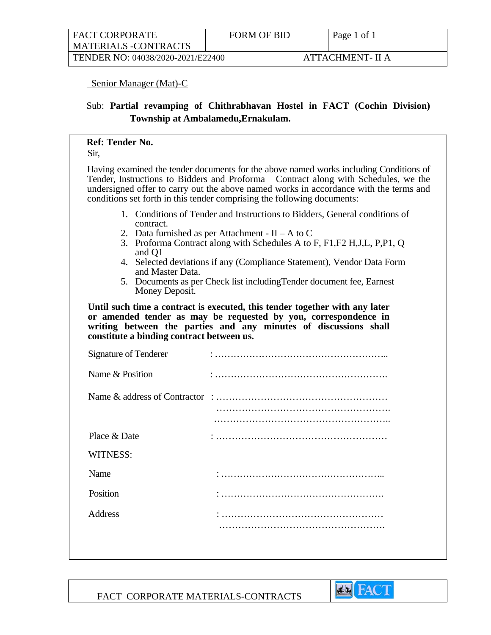| <b>FACT CORPORATE</b>             | <b>FORM OF BID</b> | Page 1 of 1      |
|-----------------------------------|--------------------|------------------|
| <b>MATERIALS -CONTRACTS</b>       |                    |                  |
| TENDER NO: 04038/2020-2021/E22400 |                    | ATTACHMENT- II A |

### Senior Manager (Mat)-C

# Sub: **Partial revamping of Chithrabhavan Hostel in FACT (Cochin Division) Township at Ambalamedu,Ernakulam.**

# **Ref: Tender No.**

Sir,

Having examined the tender documents for the above named works including Conditions of Tender, Instructions to Bidders and Proforma Contract along with Schedules, we the undersigned offer to carry out the above named works in accordance with the terms and conditions set forth in this tender comprising the following documents:

- 1. Conditions of Tender and Instructions to Bidders, General conditions of contract.
- 2. Data furnished as per Attachment  $II A$  to C
- 3. Proforma Contract along with Schedules A to F, F1,F2 H,J,L, P,P1, Q and Q1
- 4. Selected deviations if any (Compliance Statement), Vendor Data Form and Master Data.
- 5. Documents as per Check list includingTender document fee, Earnest Money Deposit.

**Until such time a contract is executed, this tender together with any later or amended tender as may be requested by you, correspondence in writing between the parties and any minutes of discussions shall constitute a binding contract between us.** 

| Signature of Tenderer |  |
|-----------------------|--|
| Name & Position       |  |
|                       |  |
|                       |  |
| Place & Date          |  |
| <b>WITNESS:</b>       |  |
| Name                  |  |
| Position              |  |
| Address               |  |
|                       |  |

FACT CORPORATE MATERIALS-CONTRACTS

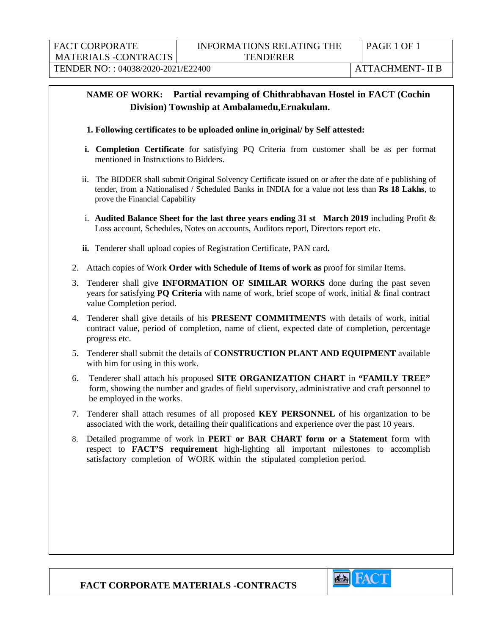| <b>FACT CORPORATE</b>              | PAGE 1 OF 1      |
|------------------------------------|------------------|
| <b>MATERIALS -CONTRACTS</b>        |                  |
| TENDER NO:: 04038/2020-2021/E22400 | ATTACHMENT- II B |

# **NAME OF WORK: Partial revamping of Chithrabhavan Hostel in FACT (Cochin Division) Township at Ambalamedu,Ernakulam.**

- **1. Following certificates to be uploaded online in original/ by Self attested:**
- **i. Completion Certificate** for satisfying PQ Criteria from customer shall be as per format mentioned in Instructions to Bidders.
- ii.The BIDDER shall submit Original Solvency Certificate issued on or after the date of e publishing of tender, from a Nationalised / Scheduled Banks in INDIA for a value not less than **Rs 18 Lakhs**, to prove the Financial Capability
- i. **Audited Balance Sheet for the last three years ending 31 st March 2019** including Profit & Loss account, Schedules, Notes on accounts, Auditors report, Directors report etc.
- **ii.** Tenderer shall upload copies of Registration Certificate, PAN card**.**
- 2. Attach copies of Work **Order with Schedule of Items of work as** proof for similar Items.
- 3. Tenderer shall give **INFORMATION OF SIMILAR WORKS** done during the past seven years for satisfying **PQ Criteria** with name of work, brief scope of work, initial & final contract value Completion period.
- 4. Tenderer shall give details of his **PRESENT COMMITMENTS** with details of work, initial contract value, period of completion, name of client, expected date of completion, percentage progress etc.
- 5. Tenderer shall submit the details of **CONSTRUCTION PLANT AND EQUIPMENT** available with him for using in this work.
- 6. Tenderer shall attach his proposed **SITE ORGANIZATION CHART** in **"FAMILY TREE"** form, showing the number and grades of field supervisory, administrative and craft personnel to be employed in the works.
- 7. Tenderer shall attach resumes of all proposed **KEY PERSONNEL** of his organization to be associated with the work, detailing their qualifications and experience over the past 10 years.
- 8. Detailed programme of work in **PERT or BAR CHART form or a Statement** form with respect to **FACT'S requirement** high-lighting all important milestones to accomplish satisfactory completion of WORK within the stipulated completion period.

**FACT CORPORATE MATERIALS -CONTRACTS**